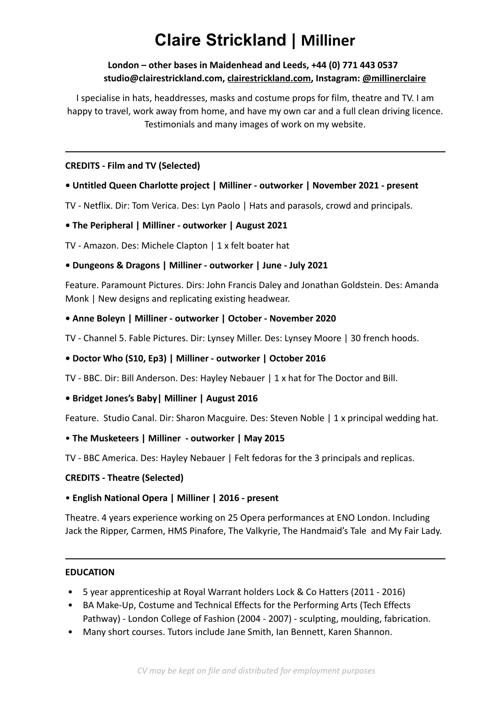# **Claire Strickland | Milliner**

# **London – other bases in Maidenhead and Leeds, +44 (0) 771 443 0537 studio[@clairestrickland.com,](mailto:claire@clairestrickland.com) [clairestrickland.com,](https://clairestrickland.com) Instagram: [@millinerclaire](https://www.instagram.com/millinerclaire/)**

I specialise in hats, headdresses, masks and costume props for film, theatre and TV. I am happy to travel, work away from home, and have my own car and a full clean driving licence. Testimonials and many images of work on my website.

#### **CREDITS - Film and TV (Selected)**

# **• Untitled Queen Charlotte project | Milliner - outworker | November 2021 - present**

TV - Netflix. Dir: Tom Verica. Des: Lyn Paolo | Hats and parasols, crowd and principals.

# **• The Peripheral | Milliner - outworker | August 2021**

TV - Amazon. Des: Michele Clapton | 1 x felt boater hat

# **• Dungeons & Dragons | Milliner - outworker | June - July 2021**

Feature. Paramount Pictures. Dirs: John Francis Daley and Jonathan Goldstein. Des: Amanda Monk | New designs and replicating existing headwear.

# **• Anne Boleyn | Milliner - outworker | October - November 2020**

TV - Channel 5. Fable Pictures. Dir: Lynsey Miller. Des: Lynsey Moore | 30 french hoods.

#### **• Doctor Who (S10, Ep3) | Milliner - outworker | October 2016**

TV - BBC. Dir: Bill Anderson. Des: Hayley Nebauer | 1 x hat for The Doctor and Bill.

# **• Bridget Jones's Baby| Milliner | August 2016**

Feature. Studio Canal. Dir: Sharon Macguire. Des: Steven Noble | 1 x principal wedding hat.

#### • **The Musketeers | Milliner - outworker | May 2015**

TV - BBC America. Des: Hayley Nebauer | Felt fedoras for the 3 principals and replicas.

#### **CREDITS - Theatre (Selected)**

# • **English National Opera | Milliner | 2016 - present**

Theatre. 4 years experience working on 25 Opera performances at ENO London. Including Jack the Ripper, Carmen, HMS Pinafore, The Valkyrie, The Handmaid's Tale and My Fair Lady.

#### **EDUCATION**

- 5 year apprenticeship at Royal Warrant holders Lock & Co Hatters (2011 2016)
- BA Make-Up, Costume and Technical Effects for the Performing Arts (Tech Effects Pathway) - London College of Fashion (2004 - 2007) - sculpting, moulding, fabrication.
- Many short courses. Tutors include Jane Smith, Ian Bennett, Karen Shannon.